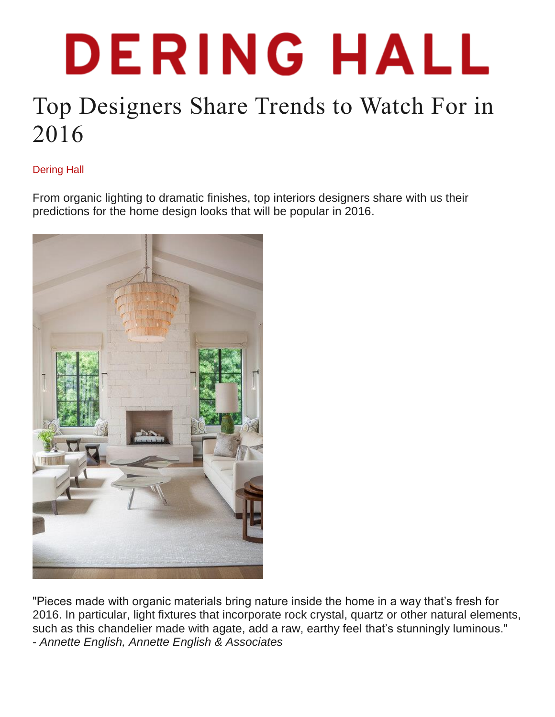## DERING HALL

## Top Designers Share Trends to Watch For in 2016

## Dering Hall

From organic lighting to dramatic finishes, top interiors designers share with us their predictions for the home design looks that will be popular in 2016.



"Pieces made with organic materials bring nature inside the home in a way that's fresh for 2016. In particular, light fixtures that incorporate rock crystal, quartz or other natural elements, such as this chandelier made with agate, add a raw, earthy feel that's stunningly luminous." - *Annette English, Annette English & [Associates](http://www.deringhall.com/interior-designers/annette-english-associates)*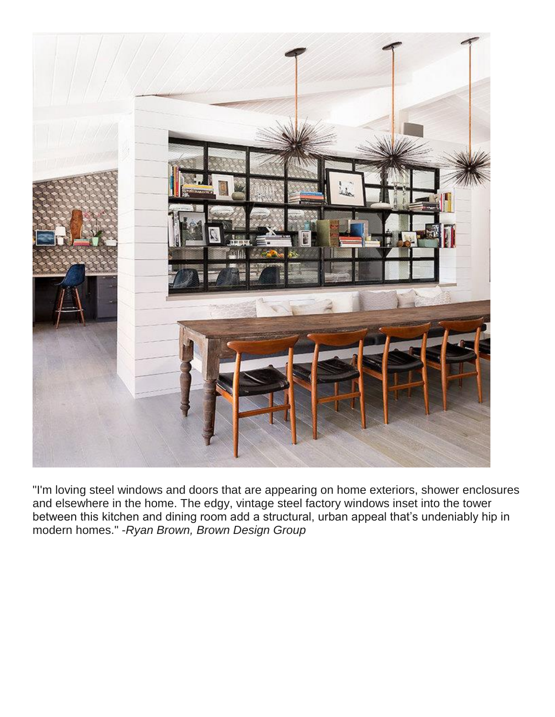

"I'm loving steel windows and doors that are appearing on home exteriors, shower enclosures and elsewhere in the home. The edgy, vintage steel factory windows inset into the tower between this kitchen and dining room add a structural, urban appeal that's undeniably hip in modern homes." -*Ryan Brown, Brown [Design](http://www.deringhall.com/interior-designers/brown-design-group) Group*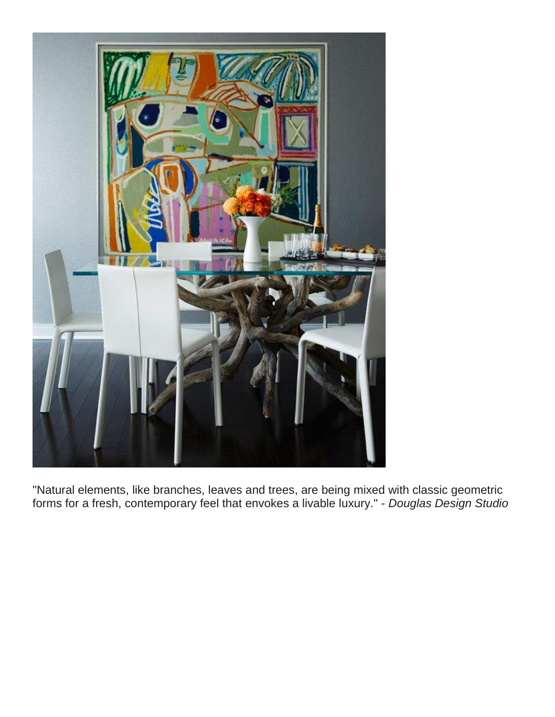

"Natural elements, like branches, leaves and trees, are being mixed with classic geometric forms for a fresh, contemporary feel that envokes a livable luxury." - *[Douglas](http://www.deringhall.com/interior-designers/douglas-design-studio) Design Studio*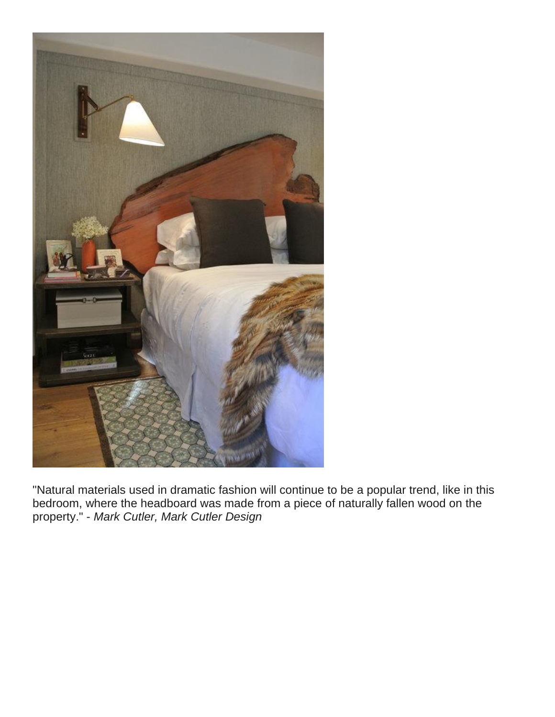

"Natural materials used in dramatic fashion will continue to be a popular trend, like in this bedroom, where the headboard was made from a piece of naturally fallen wood on the property." - *Mark Cutler, Mark Cutler [Design](http://www.deringhall.com/interior-designers/mark-cutler-design)*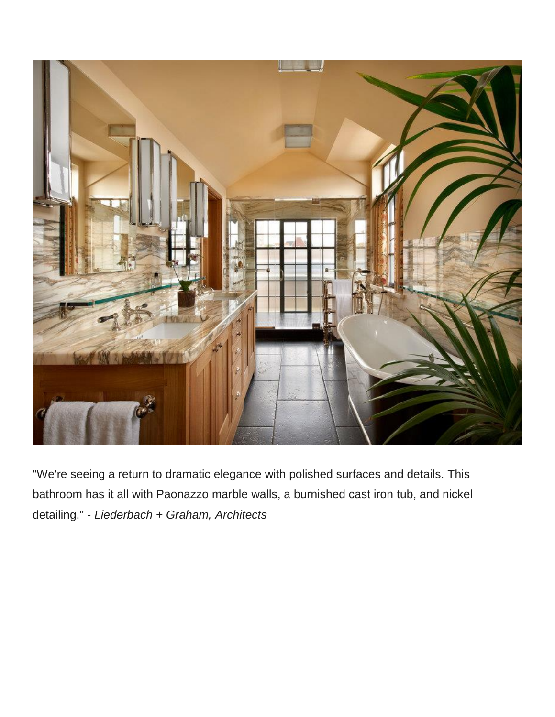

"We're seeing a return to dramatic elegance with polished surfaces and details. This bathroom has it all with Paonazzo marble walls, a burnished cast iron tub, and nickel detailing." - *[Liederbach](http://www.deringhall.com/architects/liederbach-graham-architects) + Graham, Architects*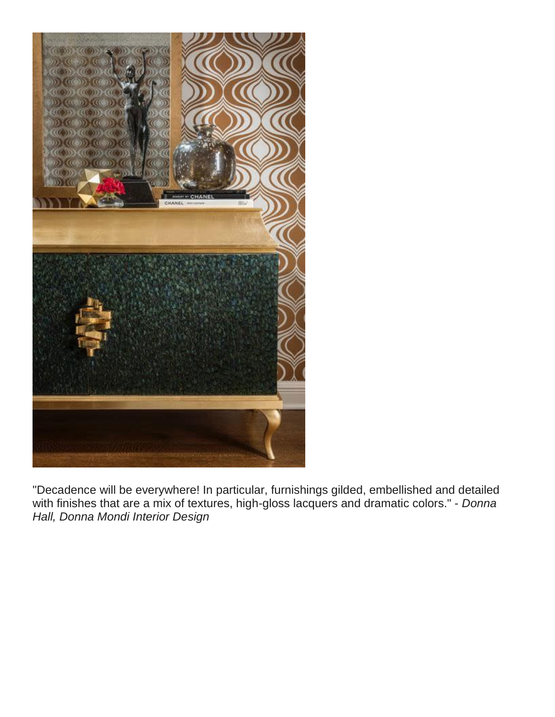

"Decadence will be everywhere! In particular, furnishings gilded, embellished and detailed with finishes that are a mix of textures, high-gloss lacquers and dramatic colors." - *Donna Hall, Donna Mondi [Interior](http://www.deringhall.com/interior-designers/donna-mondi-interior-design) Design*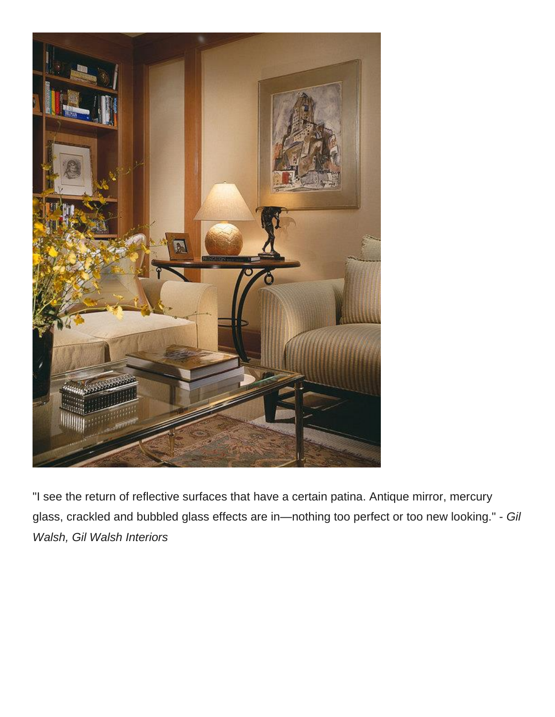

"I see the return of reflective surfaces that have a certain patina. Antique mirror, mercury glass, crackled and bubbled glass effects are in—nothing too perfect or too new looking." - *Gil Walsh, Gil Walsh [Interiors](http://www.deringhall.com/interior-designers/gil-walsh-interiors)*